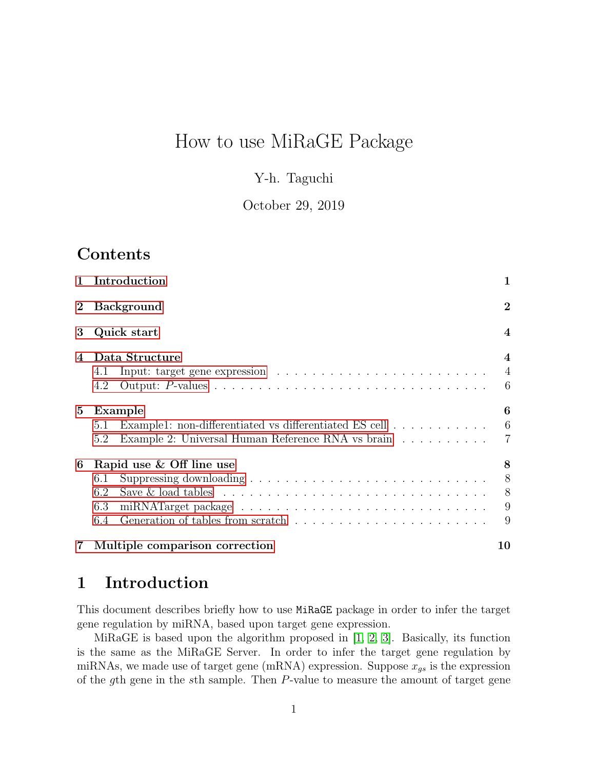# How to use MiRaGE Package

### Y-h. Taguchi

### October 29, 2019

## **Contents**

| $\mathbf{1}$ | Introduction                                                                                                                                                | 1                                     |  |  |
|--------------|-------------------------------------------------------------------------------------------------------------------------------------------------------------|---------------------------------------|--|--|
| $\bf{2}$     | <b>Background</b>                                                                                                                                           |                                       |  |  |
| 3            | Quick start                                                                                                                                                 | $\overline{\mathcal{A}}$              |  |  |
| 4            | Data Structure<br>4.1<br>4.2                                                                                                                                | $\overline{4}$<br>$\overline{4}$<br>6 |  |  |
| 5            | Example<br>Example1: non-differentiated vs differentiated ES cell $\ldots \ldots \ldots$<br>5.1<br>Example 2: Universal Human Reference RNA vs brain<br>5.2 | 6<br>6<br>7                           |  |  |
| 6            | Rapid use & Off line use<br>6.1<br>6.2<br>6.3<br>6.4                                                                                                        | 8<br>8<br>8<br>9<br>9                 |  |  |
| 7            | Multiple comparison correction                                                                                                                              | 10                                    |  |  |

## <span id="page-0-0"></span>1 Introduction

This document describes briefly how to use MiRaGE package in order to infer the target gene regulation by miRNA, based upon target gene expression.

MiRaGE is based upon the algorithm proposed in  $[1, 2, 3]$  $[1, 2, 3]$  $[1, 2, 3]$ . Basically, its function is the same as the MiRaGE Server. In order to infer the target gene regulation by miRNAs, we made use of target gene (mRNA) expression. Suppose  $x_{gs}$  is the expression of the gth gene in the sth sample. Then P-value to measure the amount of target gene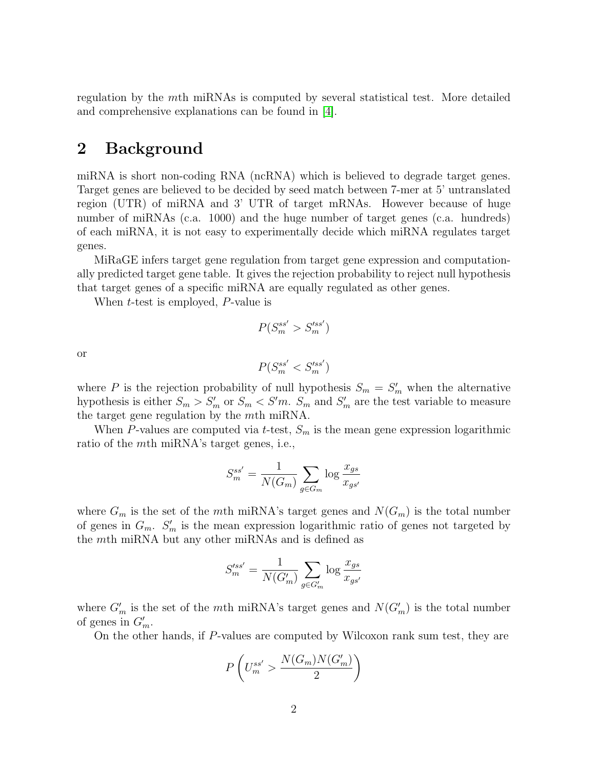regulation by the mth miRNAs is computed by several statistical test. More detailed and comprehensive explanations can be found in [\[4\]](#page-14-3).

### <span id="page-1-0"></span>2 Background

miRNA is short non-coding RNA (ncRNA) which is believed to degrade target genes. Target genes are believed to be decided by seed match between 7-mer at 5' untranslated region (UTR) of miRNA and 3' UTR of target mRNAs. However because of huge number of miRNAs (c.a. 1000) and the huge number of target genes (c.a. hundreds) of each miRNA, it is not easy to experimentally decide which miRNA regulates target genes.

MiRaGE infers target gene regulation from target gene expression and computationally predicted target gene table. It gives the rejection probability to reject null hypothesis that target genes of a specific miRNA are equally regulated as other genes.

When t-test is employed, P-value is

$$
P(S_m^{ss'} > S_m'^{ss'})
$$

or

$$
P(S_m^{ss'} < S_m'^{ss'})
$$

where P is the rejection probability of null hypothesis  $S_m = S'_m$  when the alternative hypothesis is either  $S_m > S'_m$  or  $S_m < S'm$ .  $S_m$  and  $S'_m$  are the test variable to measure the target gene regulation by the mth miRNA.

When P-values are computed via t-test,  $S_m$  is the mean gene expression logarithmic ratio of the mth miRNA's target genes, i.e.,

$$
S_m^{ss'} = \frac{1}{N(G_m)} \sum_{g \in G_m} \log \frac{x_{gs}}{x_{gs'}}
$$

where  $G_m$  is the set of the mth miRNA's target genes and  $N(G_m)$  is the total number of genes in  $G_m$ .  $S'_m$  is the mean expression logarithmic ratio of genes not targeted by the mth miRNA but any other miRNAs and is defined as

$$
S'^{ss'}_m = \frac{1}{N(G'_m)} \sum_{g \in G'_m} \log \frac{x_{gs}}{x_{gs'}}
$$

where  $G'_m$  is the set of the mth miRNA's target genes and  $N(G'_m)$  is the total number of genes in  $G'_m$ .

On the other hands, if P-values are computed by Wilcoxon rank sum test, they are

$$
P\left(U_m^{ss'} > \frac{N(G_m)N(G'_m)}{2}\right)
$$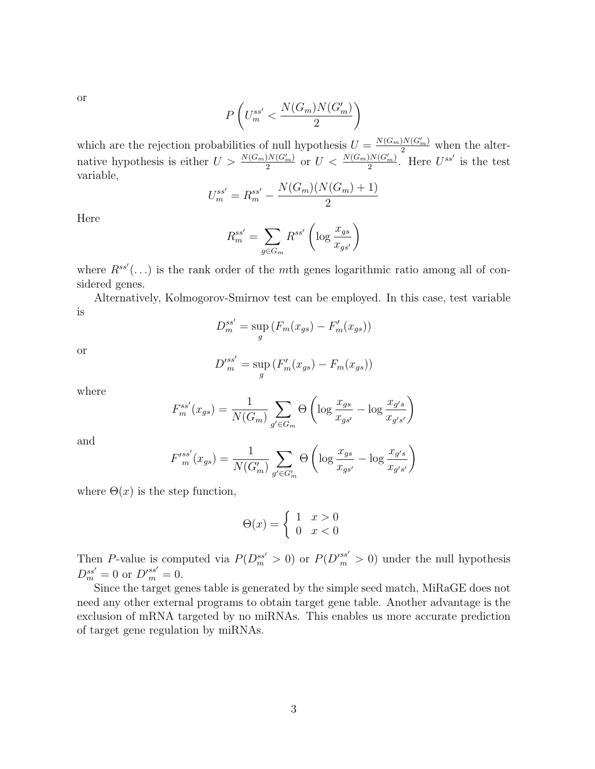or

$$
P\left(U_{m}^{ss'}<\frac{N(G_m)N(G_m')}{2}\right)
$$

which are the rejection probabilities of null hypothesis  $U = \frac{N(G_m)N(G'_m)}{2}$  when the alternative hypothesis is either  $U > \frac{N(G_m)N(G'_m)}{2}$  or  $U < \frac{N(G_m)N(G'_m)}{2}$ . Here  $U^{ss'}$  is the test variable,

$$
U_m^{ss'} = R_m^{ss'} - \frac{N(G_m)(N(G_m) + 1)}{2}
$$

Here

$$
R_m^{ss'} = \sum_{g \in G_m} R^{ss'} \left( \log \frac{x_{gs}}{x_{gs'}} \right)
$$

where  $R^{ss'}(\ldots)$  is the rank order of the mth genes logarithmic ratio among all of considered genes.

Alternatively, Kolmogorov-Smirnov test can be employed. In this case, test variable is

$$
D_m^{ss'} = \sup_g \left( F_m(x_{gs}) - F'_m(x_{gs}) \right)
$$

or

$$
D'^{ss'}_{m} = \sup_{g} (F'_{m}(x_{gs}) - F_{m}(x_{gs}))
$$

where

$$
F_m^{ss'}(x_{gs}) = \frac{1}{N(G_m)} \sum_{g' \in G_m} \Theta\left(\log \frac{x_{gs}}{x_{gs'}} - \log \frac{x_{g's}}{x_{g's'}}\right)
$$

and

$$
F'^{ss'}_{m}(x_{gs}) = \frac{1}{N(G'_m)} \sum_{g' \in G'_m} \Theta \left( \log \frac{x_{gs}}{x_{gs'}} - \log \frac{x_{g's}}{x_{g's'}} \right)
$$

where  $\Theta(x)$  is the step function,

$$
\Theta(x) = \begin{cases} 1 & x > 0 \\ 0 & x < 0 \end{cases}
$$

Then P-value is computed via  $P(D_m^{ss'} > 0)$  or  $P(D_m'^{ss'} > 0)$  under the null hypothesis  $D_m^{ss'} = 0$  or  $D_m^{\prime ss'} = 0$ .

Since the target genes table is generated by the simple seed match, MiRaGE does not need any other external programs to obtain target gene table. Another advantage is the exclusion of mRNA targeted by no miRNAs. This enables us more accurate prediction of target gene regulation by miRNAs.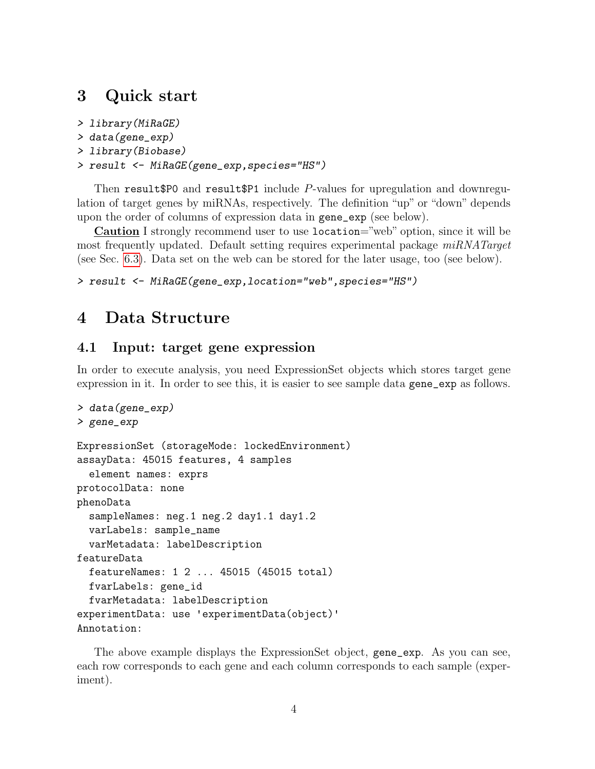### <span id="page-3-0"></span>3 Quick start

```
> library(MiRaGE)
```

```
> data(gene_exp)
```

```
> library(Biobase)
```

```
> result <- MiRaGE(gene_exp,species="HS")
```
Then result  $$P0$  and result $$P1$  include  $P$ -values for upregulation and downregulation of target genes by miRNAs, respectively. The definition "up" or "down" depends upon the order of columns of expression data in gene\_exp (see below).

Caution I strongly recommend user to use location="web" option, since it will be most frequently updated. Default setting requires experimental package  $miRNATarget$ (see Sec. [6.3\)](#page-8-0). Data set on the web can be stored for the later usage, too (see below).

```
> result <- MiRaGE(gene_exp,location="web",species="HS")
```
## <span id="page-3-1"></span>4 Data Structure

### <span id="page-3-2"></span>4.1 Input: target gene expression

In order to execute analysis, you need ExpressionSet objects which stores target gene expression in it. In order to see this, it is easier to see sample data gene\_exp as follows.

```
> data(gene_exp)
> gene_exp
ExpressionSet (storageMode: lockedEnvironment)
assayData: 45015 features, 4 samples
  element names: exprs
protocolData: none
phenoData
  sampleNames: neg.1 neg.2 day1.1 day1.2
  varLabels: sample_name
  varMetadata: labelDescription
featureData
  featureNames: 1 2 ... 45015 (45015 total)
  fvarLabels: gene_id
  fvarMetadata: labelDescription
experimentData: use 'experimentData(object)'
Annotation:
```
The above example displays the ExpressionSet object, gene\_exp. As you can see, each row corresponds to each gene and each column corresponds to each sample (experiment).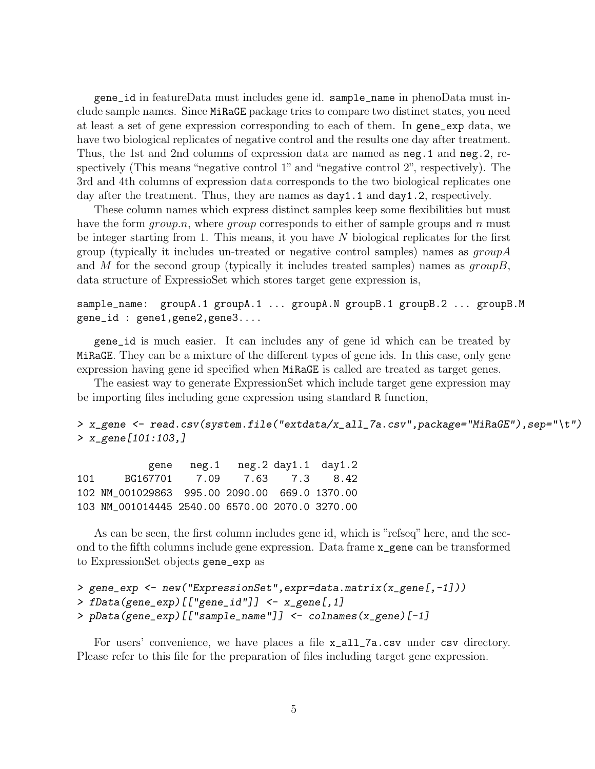gene\_id in featureData must includes gene id. sample\_name in phenoData must include sample names. Since MiRaGE package tries to compare two distinct states, you need at least a set of gene expression corresponding to each of them. In gene\_exp data, we have two biological replicates of negative control and the results one day after treatment. Thus, the 1st and 2nd columns of expression data are named as neg.1 and neg.2, respectively (This means "negative control 1" and "negative control 2", respectively). The 3rd and 4th columns of expression data corresponds to the two biological replicates one day after the treatment. Thus, they are names as  $day1.1$  and  $day1.2$ , respectively.

These column names which express distinct samples keep some flexibilities but must have the form  $group.n$ , where  $group$  corresponds to either of sample groups and n must be integer starting from 1. This means, it you have  $N$  biological replicates for the first group (typically it includes un-treated or negative control samples) names as  $qroupA$ and M for the second group (typically it includes treated samples) names as  $groupB$ , data structure of ExpressioSet which stores target gene expression is,

#### sample\_name: groupA.1 groupA.1 ... groupA.N groupB.1 groupB.2 ... groupB.M gene\_id : gene1,gene2,gene3....

gene\_id is much easier. It can includes any of gene id which can be treated by MiRaGE. They can be a mixture of the different types of gene ids. In this case, only gene expression having gene id specified when MiRaGE is called are treated as target genes.

The easiest way to generate ExpressionSet which include target gene expression may be importing files including gene expression using standard R function,

#### > x\_gene <- read.csv(system.file("extdata/x\_all\_7a.csv",package="MiRaGE"),sep="\t") > x\_gene[101:103,]

gene neg.1 neg.2 day1.1 day1.2 101 BG167701 7.09 7.63 7.3 8.42 102 NM\_001029863 995.00 2090.00 669.0 1370.00 103 NM\_001014445 2540.00 6570.00 2070.0 3270.00

As can be seen, the first column includes gene id, which is "refseq" here, and the second to the fifth columns include gene expression. Data frame x\_gene can be transformed to ExpressionSet objects gene\_exp as

```
> gene_exp <- new("ExpressionSet",expr=data.matrix(x_gene[,-1]))
> fData(gene_exp)[["gene_id"]] <- x_gene[,1]
> pData(gene_exp)[["sample_name"]] <- colnames(x_gene)[-1]
```
For users' convenience, we have places a file  $x$ <sup>-all-7a.csv</sup> under csv directory. Please refer to this file for the preparation of files including target gene expression.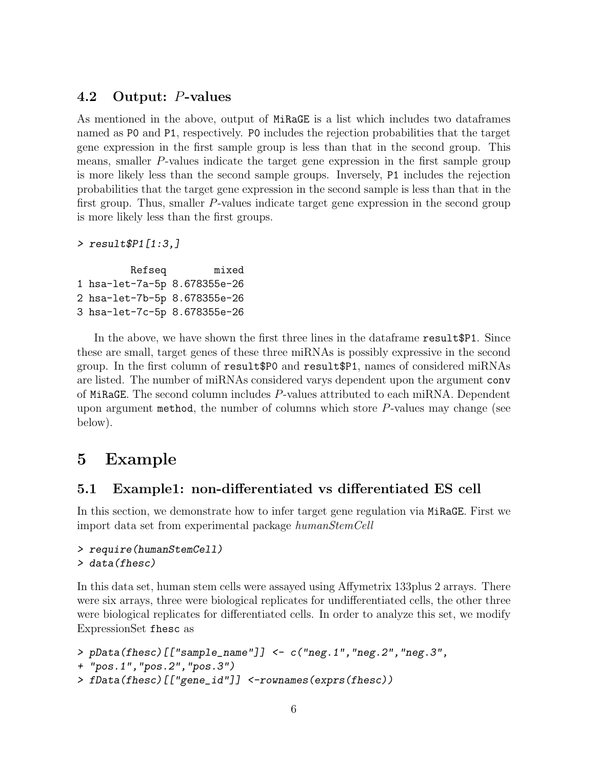### <span id="page-5-0"></span>4.2 Output: P-values

As mentioned in the above, output of MiRaGE is a list which includes two dataframes named as P0 and P1, respectively. P0 includes the rejection probabilities that the target gene expression in the first sample group is less than that in the second group. This means, smaller P-values indicate the target gene expression in the first sample group is more likely less than the second sample groups. Inversely, P1 includes the rejection probabilities that the target gene expression in the second sample is less than that in the first group. Thus, smaller P-values indicate target gene expression in the second group is more likely less than the first groups.

```
> result$P1[1:3,]
```

```
Refseq mixed
1 hsa-let-7a-5p 8.678355e-26
2 hsa-let-7b-5p 8.678355e-26
3 hsa-let-7c-5p 8.678355e-26
```
In the above, we have shown the first three lines in the dataframe result\$P1. Since these are small, target genes of these three miRNAs is possibly expressive in the second group. In the first column of result\$P0 and result\$P1, names of considered miRNAs are listed. The number of miRNAs considered varys dependent upon the argument conv of MiRaGE. The second column includes P-values attributed to each miRNA. Dependent upon argument method, the number of columns which store  $P$ -values may change (see below).

## <span id="page-5-1"></span>5 Example

### <span id="page-5-2"></span>5.1 Example1: non-differentiated vs differentiated ES cell

In this section, we demonstrate how to infer target gene regulation via MiRaGE. First we import data set from experimental package humanStemCell

```
> require(humanStemCell)
> data(fhesc)
```
In this data set, human stem cells were assayed using Affymetrix 133plus 2 arrays. There were six arrays, three were biological replicates for undifferentiated cells, the other three were biological replicates for differentiated cells. In order to analyze this set, we modify ExpressionSet fhesc as

```
> pData(fhesc)[["sample_name"]] <- c("neg.1","neg.2","neg.3",
+ "pos.1","pos.2","pos.3")
```

```
> fData(fhesc)[["gene_id"]] <-rownames(exprs(fhesc))
```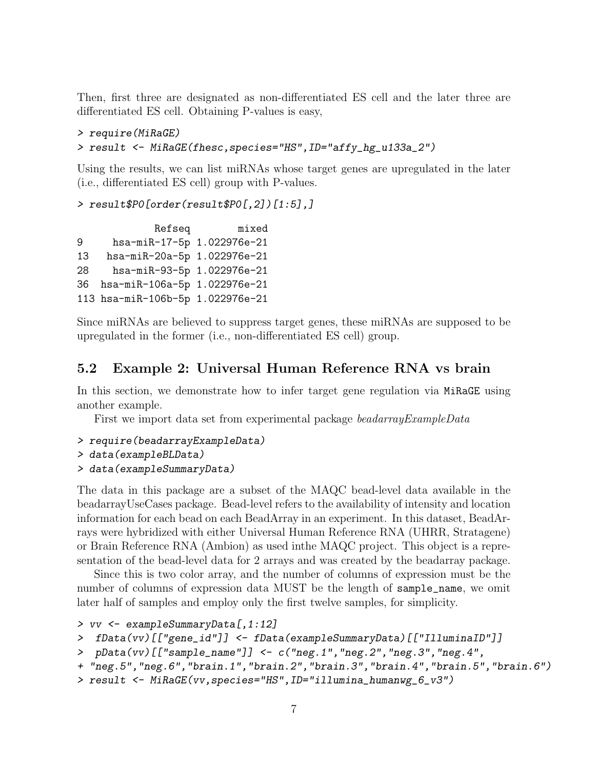Then, first three are designated as non-differentiated ES cell and the later three are differentiated ES cell. Obtaining P-values is easy,

```
> require(MiRaGE)
> result <- MiRaGE(fhesc,species="HS",ID="affy_hg_u133a_2")
```
Using the results, we can list miRNAs whose target genes are upregulated in the later (i.e., differentiated ES cell) group with P-values.

```
> result$P0[order(result$P0[,2])[1:5],]
```
Refseq mixed 9 hsa-miR-17-5p 1.022976e-21 13 hsa-miR-20a-5p 1.022976e-21 28 hsa-miR-93-5p 1.022976e-21 36 hsa-miR-106a-5p 1.022976e-21 113 hsa-miR-106b-5p 1.022976e-21

Since miRNAs are believed to suppress target genes, these miRNAs are supposed to be upregulated in the former (i.e., non-differentiated ES cell) group.

### <span id="page-6-0"></span>5.2 Example 2: Universal Human Reference RNA vs brain

In this section, we demonstrate how to infer target gene regulation via MiRaGE using another example.

First we import data set from experimental package beadarrayExampleData

> require(beadarrayExampleData)

```
> data(exampleBLData)
```
> data(exampleSummaryData)

The data in this package are a subset of the MAQC bead-level data available in the beadarrayUseCases package. Bead-level refers to the availability of intensity and location information for each bead on each BeadArray in an experiment. In this dataset, BeadArrays were hybridized with either Universal Human Reference RNA (UHRR, Stratagene) or Brain Reference RNA (Ambion) as used inthe MAQC project. This object is a representation of the bead-level data for 2 arrays and was created by the beadarray package.

Since this is two color array, and the number of columns of expression must be the number of columns of expression data MUST be the length of sample\_name, we omit later half of samples and employ only the first twelve samples, for simplicity.

```
> vv <- exampleSummaryData[,1:12]
```

```
> fData(vv)[["gene_id"]] <- fData(exampleSummaryData)[["IlluminaID"]]
```

```
> pData(vv)[["sample_name"]] <- c("neg.1","neg.2","neg.3","neg.4",
```

```
+ "neg.5","neg.6","brain.1","brain.2","brain.3","brain.4","brain.5","brain.6")
```

```
> result <- MiRaGE(vv,species="HS",ID="illumina_humanwg_6_v3")
```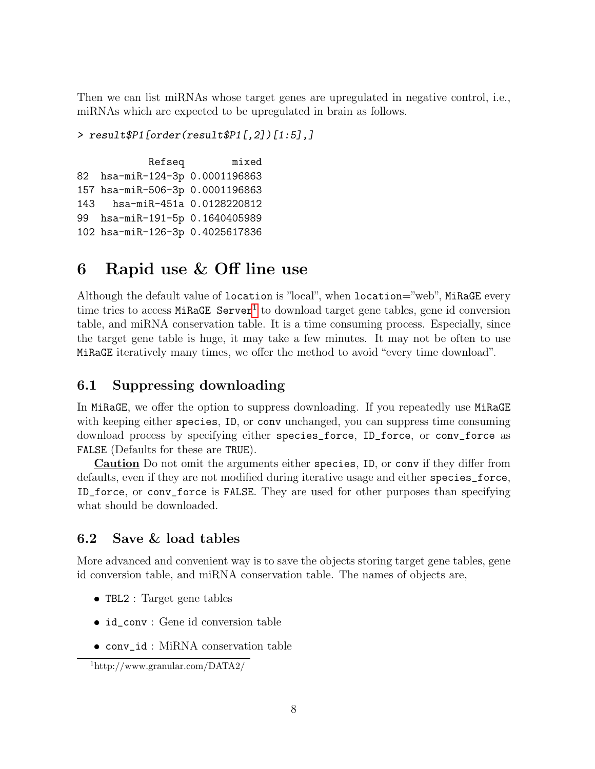Then we can list miRNAs whose target genes are upregulated in negative control, i.e., miRNAs which are expected to be upregulated in brain as follows.

```
> result$P1[order(result$P1[,2])[1:5],]
```
Refseq mixed 82 hsa-miR-124-3p 0.0001196863 157 hsa-miR-506-3p 0.0001196863 143 hsa-miR-451a 0.0128220812 99 hsa-miR-191-5p 0.1640405989 102 hsa-miR-126-3p 0.4025617836

## <span id="page-7-0"></span>6 Rapid use & Off line use

Although the default value of location is "local", when location="web", MiRaGE every time tries to access MiRaGE Server<sup>[1](#page-7-3)</sup> to download target gene tables, gene id conversion table, and miRNA conservation table. It is a time consuming process. Especially, since the target gene table is huge, it may take a few minutes. It may not be often to use MiRaGE iteratively many times, we offer the method to avoid "every time download".

### <span id="page-7-1"></span>6.1 Suppressing downloading

In MiRaGE, we offer the option to suppress downloading. If you repeatedly use MiRaGE with keeping either species, ID, or conv unchanged, you can suppress time consuming download process by specifying either species\_force, ID\_force, or conv\_force as FALSE (Defaults for these are TRUE).

Caution Do not omit the arguments either species, ID, or conv if they differ from defaults, even if they are not modified during iterative usage and either species\_force, ID\_force, or conv\_force is FALSE. They are used for other purposes than specifying what should be downloaded.

### <span id="page-7-2"></span>6.2 Save & load tables

More advanced and convenient way is to save the objects storing target gene tables, gene id conversion table, and miRNA conservation table. The names of objects are,

- TBL2 : Target gene tables
- id\_conv : Gene id conversion table
- conv\_id : MiRNA conservation table

<span id="page-7-3"></span><sup>1</sup>http://www.granular.com/DATA2/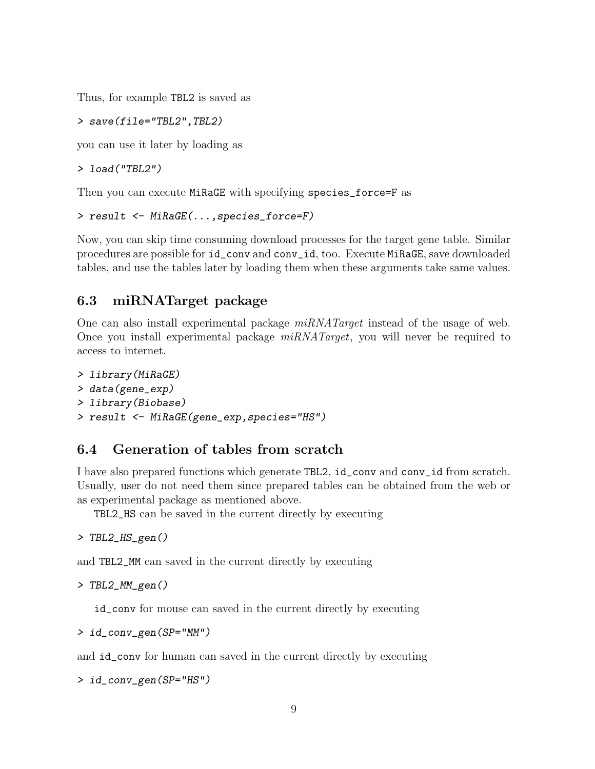Thus, for example TBL2 is saved as

> save(file="TBL2",TBL2)

you can use it later by loading as

```
> load("TBL2")
```
Then you can execute MiRaGE with specifying species\_force=F as

```
> result <- MiRaGE(...,species_force=F)
```
Now, you can skip time consuming download processes for the target gene table. Similar procedures are possible for id\_conv and conv\_id, too. Execute MiRaGE, save downloaded tables, and use the tables later by loading them when these arguments take same values.

### <span id="page-8-0"></span>6.3 miRNATarget package

One can also install experimental package  $miRNATarget$  instead of the usage of web. Once you install experimental package  $miRNATarget$ , you will never be required to access to internet.

```
> library(MiRaGE)
> data(gene_exp)
> library(Biobase)
> result <- MiRaGE(gene_exp,species="HS")
```
### <span id="page-8-1"></span>6.4 Generation of tables from scratch

I have also prepared functions which generate TBL2, id\_conv and conv\_id from scratch. Usually, user do not need them since prepared tables can be obtained from the web or as experimental package as mentioned above.

TBL2\_HS can be saved in the current directly by executing

> TBL2\_HS\_gen()

and TBL2\_MM can saved in the current directly by executing

```
> TBL2_MM_gen()
```
id\_conv for mouse can saved in the current directly by executing

$$
> id\_conv\_gen(SP="MM")
$$

and id\_conv for human can saved in the current directly by executing

> id\_conv\_gen(SP="HS")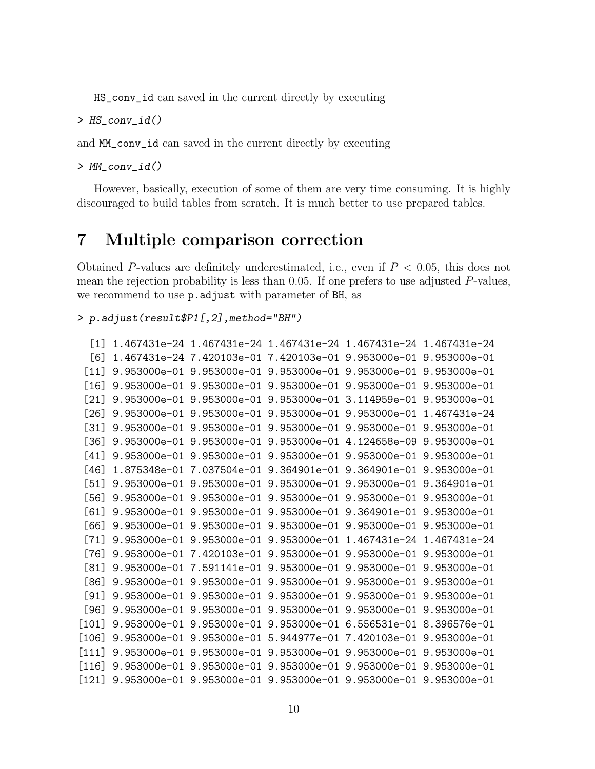HS\_conv\_id can saved in the current directly by executing

> HS\_conv\_id()

and MM\_conv\_id can saved in the current directly by executing

> MM\_conv\_id()

However, basically, execution of some of them are very time consuming. It is highly discouraged to build tables from scratch. It is much better to use prepared tables.

### <span id="page-9-0"></span>7 Multiple comparison correction

Obtained P-values are definitely underestimated, i.e., even if  $P < 0.05$ , this does not mean the rejection probability is less than 0.05. If one prefers to use adjusted P-values, we recommend to use p.adjust with parameter of BH, as

```
> p.adjust(result$P1[,2],method="BH")
```

```
[1] 1.467431e-24 1.467431e-24 1.467431e-24 1.467431e-24 1.467431e-24
 [6] 1.467431e-24 7.420103e-01 7.420103e-01 9.953000e-01 9.953000e-01
 [11] 9.953000e-01 9.953000e-01 9.953000e-01 9.953000e-01 9.953000e-01
 [16] 9.953000e-01 9.953000e-01 9.953000e-01 9.953000e-01 9.953000e-01
 [21] 9.953000e-01 9.953000e-01 9.953000e-01 3.114959e-01 9.953000e-01
 [26] 9.953000e-01 9.953000e-01 9.953000e-01 9.953000e-01 1.467431e-24
 [31] 9.953000e-01 9.953000e-01 9.953000e-01 9.953000e-01 9.953000e-01
 [36] 9.953000e-01 9.953000e-01 9.953000e-01 4.124658e-09 9.953000e-01
 [41] 9.953000e-01 9.953000e-01 9.953000e-01 9.953000e-01 9.953000e-01
 [46] 1.875348e-01 7.037504e-01 9.364901e-01 9.364901e-01 9.953000e-01
 [51] 9.953000e-01 9.953000e-01 9.953000e-01 9.953000e-01 9.364901e-01
 [56] 9.953000e-01 9.953000e-01 9.953000e-01 9.953000e-01 9.953000e-01
 [61] 9.953000e-01 9.953000e-01 9.953000e-01 9.364901e-01 9.953000e-01
 [66] 9.953000e-01 9.953000e-01 9.953000e-01 9.953000e-01 9.953000e-01
 [71] 9.953000e-01 9.953000e-01 9.953000e-01 1.467431e-24 1.467431e-24
 [76] 9.953000e-01 7.420103e-01 9.953000e-01 9.953000e-01 9.953000e-01
 [81] 9.953000e-01 7.591141e-01 9.953000e-01 9.953000e-01 9.953000e-01
 [86] 9.953000e-01 9.953000e-01 9.953000e-01 9.953000e-01 9.953000e-01
[91] 9.953000e-01 9.953000e-01 9.953000e-01 9.953000e-01 9.953000e-01
 [96] 9.953000e-01 9.953000e-01 9.953000e-01 9.953000e-01 9.953000e-01
[101] 9.953000e-01 9.953000e-01 9.953000e-01 6.556531e-01 8.396576e-01
[106] 9.953000e-01 9.953000e-01 5.944977e-01 7.420103e-01 9.953000e-01
[111] 9.953000e-01 9.953000e-01 9.953000e-01 9.953000e-01 9.953000e-01
[116] 9.953000e-01 9.953000e-01 9.953000e-01 9.953000e-01 9.953000e-01
[121] 9.953000e-01 9.953000e-01 9.953000e-01 9.953000e-01 9.953000e-01
```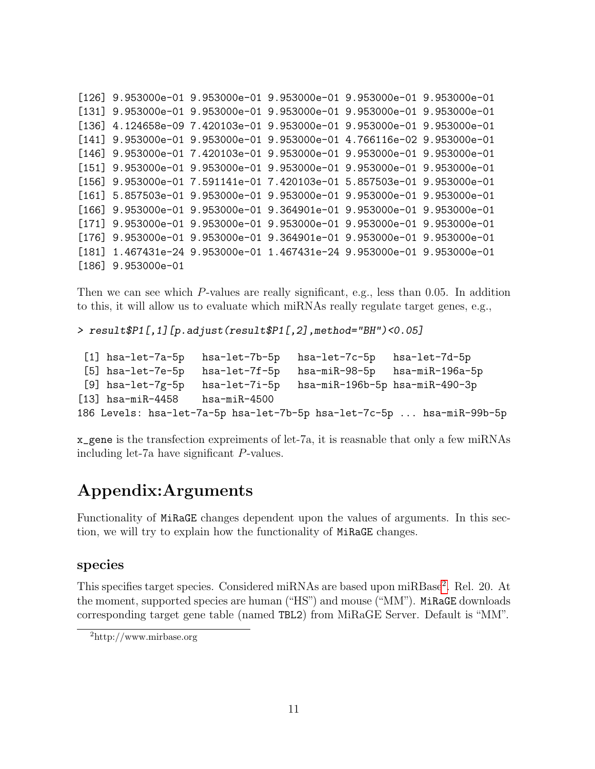```
[126] 9.953000e-01 9.953000e-01 9.953000e-01 9.953000e-01 9.953000e-01
[131] 9.953000e-01 9.953000e-01 9.953000e-01 9.953000e-01 9.953000e-01
[136] 4.124658e-09 7.420103e-01 9.953000e-01 9.953000e-01 9.953000e-01
[141] 9.953000e-01 9.953000e-01 9.953000e-01 4.766116e-02 9.953000e-01
[146] 9.953000e-01 7.420103e-01 9.953000e-01 9.953000e-01 9.953000e-01
[151] 9.953000e-01 9.953000e-01 9.953000e-01 9.953000e-01 9.953000e-01
[156] 9.953000e-01 7.591141e-01 7.420103e-01 5.857503e-01 9.953000e-01
[161] 5.857503e-01 9.953000e-01 9.953000e-01 9.953000e-01 9.953000e-01
[166] 9.953000e-01 9.953000e-01 9.364901e-01 9.953000e-01 9.953000e-01
[171] 9.953000e-01 9.953000e-01 9.953000e-01 9.953000e-01 9.953000e-01
[176] 9.953000e-01 9.953000e-01 9.364901e-01 9.953000e-01 9.953000e-01
[181] 1.467431e-24 9.953000e-01 1.467431e-24 9.953000e-01 9.953000e-01
[186] 9.953000e-01
```
Then we can see which P-values are really significant, e.g., less than 0.05. In addition to this, it will allow us to evaluate which miRNAs really regulate target genes, e.g.,

> result\$P1[,1][p.adjust(result\$P1[,2],method="BH")<0.05]

```
[1] hsa-let-7a-5p hsa-let-7b-5p hsa-let-7c-5p hsa-let-7d-5p
 [5] hsa-let-7e-5p hsa-let-7f-5p hsa-miR-98-5p hsa-miR-196a-5p
 [9] hsa-let-7g-5p hsa-let-7i-5p hsa-miR-196b-5p hsa-miR-490-3p
[13] hsa-miR-4458 hsa-miR-4500
186 Levels: hsa-let-7a-5p hsa-let-7b-5p hsa-let-7c-5p ... hsa-miR-99b-5p
```
x\_gene is the transfection expreiments of let-7a, it is reasnable that only a few miRNAs including let-7a have significant P-values.

## Appendix:Arguments

Functionality of MiRaGE changes dependent upon the values of arguments. In this section, we will try to explain how the functionality of MiRaGE changes.

#### species

This specifies target species. Considered miRNAs are based upon miRBase<sup>[2](#page-10-0)</sup>. Rel. 20. At the moment, supported species are human ("HS") and mouse ("MM"). MiRaGE downloads corresponding target gene table (named TBL2) from MiRaGE Server. Default is "MM".

<span id="page-10-0"></span><sup>2</sup>http://www.mirbase.org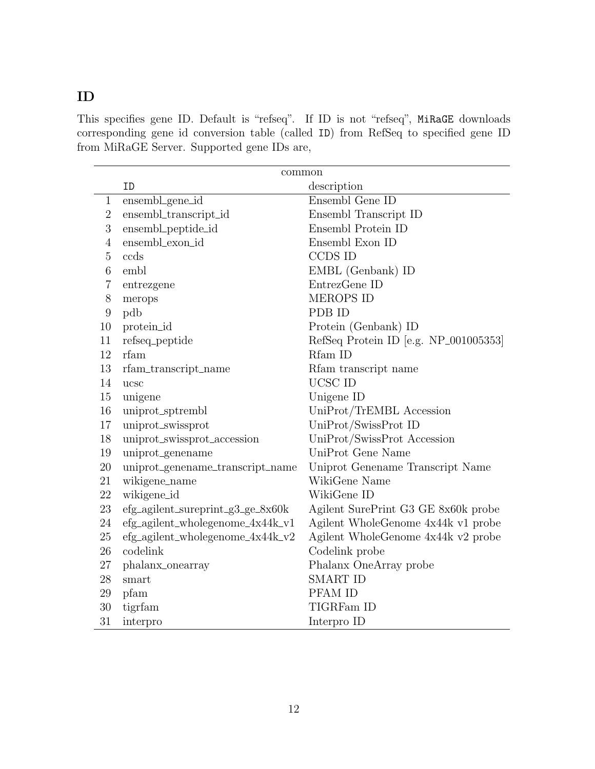### ID

This specifies gene ID. Default is "refseq". If ID is not "refseq", MiRaGE downloads corresponding gene id conversion table (called ID) from RefSeq to specified gene ID from MiRaGE Server. Supported gene IDs are,

|                | common                            |                                       |  |
|----------------|-----------------------------------|---------------------------------------|--|
|                | ID                                | description                           |  |
| $\mathbf{1}$   | ensembl_gene_id                   | Ensembl Gene ID                       |  |
| $\overline{2}$ | ensembl_transcript_id             | Ensembl Transcript ID                 |  |
| 3              | ensembl_peptide_id                | Ensembl Protein ID                    |  |
| $\overline{4}$ | ensembl_exon_id                   | Ensembl Exon ID                       |  |
| 5              | ccds                              | CCDS ID                               |  |
| 6              | embl                              | EMBL (Genbank) ID                     |  |
| 7              | entrezgene                        | EntrezGene ID                         |  |
| 8              | merops                            | <b>MEROPS ID</b>                      |  |
| $9$            | pdb                               | PDB ID                                |  |
| 10             | protein_id                        | Protein (Genbank) ID                  |  |
| 11             | refseq_peptide                    | RefSeq Protein ID [e.g. NP_001005353] |  |
| 12             | rfam                              | Rfam ID                               |  |
| 13             | rfam_transcript_name              | Rfam transcript name                  |  |
| 14             | ucsc                              | UCSC ID                               |  |
| 15             | unigene                           | Unigene ID                            |  |
| 16             | uniprot_sptrembl                  | UniProt/TrEMBL Accession              |  |
| 17             | uniprot_swissprot                 | UniProt/SwissProt ID                  |  |
| 18             | uniprot_swissprot_accession       | UniProt/SwissProt Accession           |  |
| 19             | uniprot_genename                  | UniProt Gene Name                     |  |
| 20             | uniprot_genename_transcript_name  | Uniprot Genename Transcript Name      |  |
| 21             | wikigene_name                     | WikiGene Name                         |  |
| 22             | wikigene_id                       | WikiGene ID                           |  |
| 23             | efg_agilent_sureprint_g3_ge_8x60k | Agilent SurePrint G3 GE 8x60k probe   |  |
| 24             | efg_agilent_wholegenome_4x44k_v1  | Agilent WholeGenome 4x44k v1 probe    |  |
| 25             | efg_agilent_wholegenome_4x44k_v2  | Agilent WholeGenome 4x44k v2 probe    |  |
| 26             | codelink                          | Codelink probe                        |  |
| 27             | phalanx_onearray                  | Phalanx OneArray probe                |  |
| 28             | smart                             | <b>SMART ID</b>                       |  |
| $\,29$         | pfam                              | PFAM ID                               |  |
| 30             | tigrfam                           | TIGRFam ID                            |  |
| 31             | interpro                          | Interpro ID                           |  |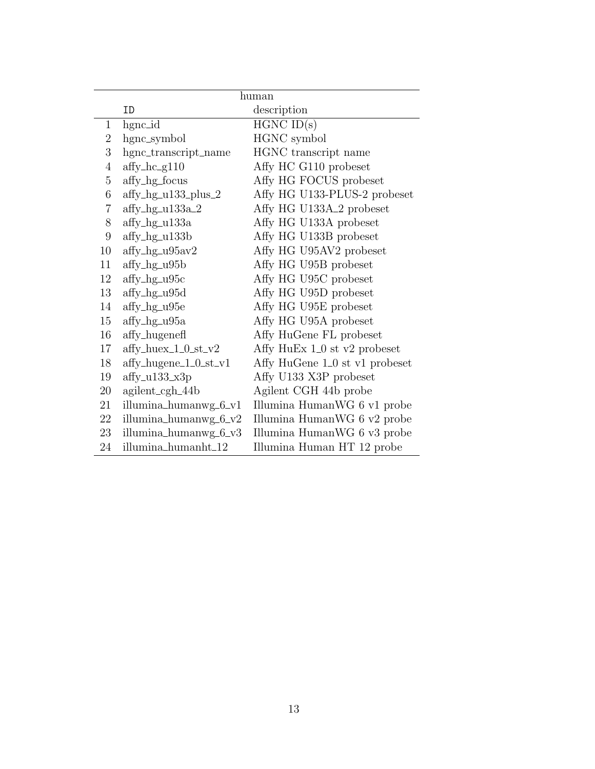| human            |                                     |                                      |
|------------------|-------------------------------------|--------------------------------------|
|                  | ID                                  | description                          |
| $\mathbf{1}$     | hgnc_id                             | $HGNC$ ID $(s)$                      |
| $\overline{2}$   | hgnc_symbol                         | HGNC symbol                          |
| 3                | hgnc_transcript_name                | HGNC transcript name                 |
| $\overline{4}$   | $affy_hc_g110$                      | Affy HC G110 probeset                |
| 5                | affy_hg_focus                       | Affy HG FOCUS probeset               |
| 6                | $affy_hg_u133$ _plus_2              | Affy HG U133-PLUS-2 probeset         |
| 7                | $affy_hg_u133a_2$                   | Affy HG U133A <sub>-2</sub> probeset |
| 8                | $affy_hg_u133a$                     | Affy HG U133A probeset               |
| $\boldsymbol{9}$ | $affy_hg_u133b$                     | Affy HG U133B probeset               |
| 10               | $affy_hg_u95av2$                    | Affy HG U95AV2 probeset              |
| 11               | $affy_lg_u95b$                      | Affy HG U95B probeset                |
| 12               | $affy_hg_u95c$                      | Affy HG U95C probeset                |
| 13               | $affy_lg_u95d$                      | Affy HG U95D probeset                |
| 14               | $affy_hg_u95e$                      | Affy HG U95E probeset                |
| 15               | $affy_hg_u95a$                      | Affy HG U95A probeset                |
| 16               | affy_hugenefl                       | Affy HuGene FL probeset              |
| 17               | $\mathrm{affy\_huex\_1\_0\_st\_v2}$ | Affy HuEx 1_0 st v2 probeset         |
| 18               | $affy\_hugene_1_0_st_v1$            | Affy HuGene 1_0 st v1 probeset       |
| 19               | $affy_u133_x3p$                     | Affy U133 X3P probeset               |
| 20               | $agilent_cgh_44b$                   | Agilent CGH 44b probe                |
| 21               | illumina_humanwg_6_v1               | Illumina HumanWG 6 v1 probe          |
| 22               | illumina_humanwg_6_v2               | Illumina HumanWG 6 v2 probe          |
| 23               | illumina_humanwg_6_v3               | Illumina HumanWG 6 v3 probe          |
| 24               | illumina_humanht_12                 | Illumina Human HT 12 probe           |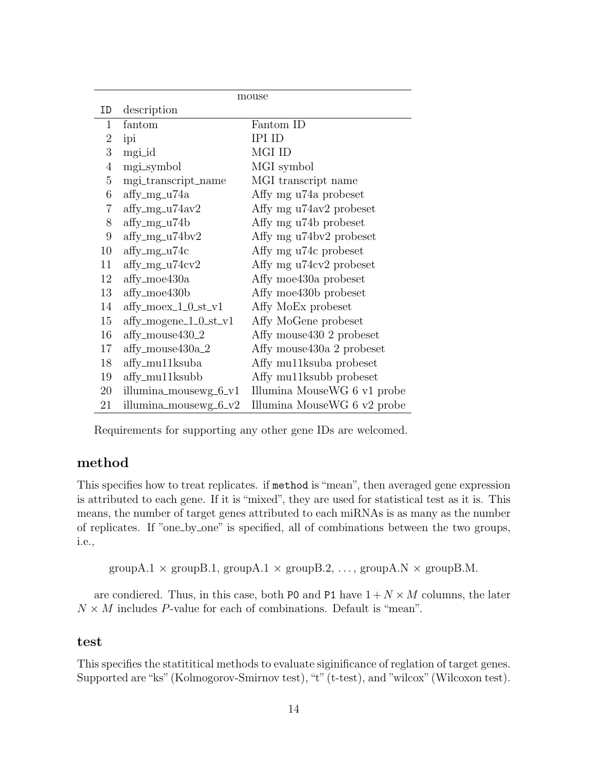|                  | mouse                        |                             |  |
|------------------|------------------------------|-----------------------------|--|
| ID               | description                  |                             |  |
| $\mathbf 1$      | fantom                       | Fantom ID                   |  |
| $\overline{2}$   | ipi                          | <b>IPI ID</b>               |  |
| 3                | mgi_id                       | MGI ID                      |  |
| $\overline{4}$   | mgi_symbol                   | MGI symbol                  |  |
| 5                | mgi_transcript_name          | MGI transcript name         |  |
| 6                | $affy_mg_u74a$               | Affy mg u74a probeset       |  |
| $\overline{7}$   | $affy_mg_u74av2$             | Affy mg u74av2 probeset     |  |
| 8                | $affy_mg_u74b$               | Affy mg u74b probeset       |  |
| $\boldsymbol{9}$ | affy_mg_u74bv2               | Affy mg u74bv2 probeset     |  |
| 10               | $affy_mg_u74c$               | Affy mg u74c probeset       |  |
| 11               | $affy_mg_u74cv2$             | Affy mg u74cv2 probeset     |  |
| 12               | $affy$ <sub>moe</sub> $430a$ | Affy moe430a probeset       |  |
| 13               | $affy_moe430b$               | Affy moe430b probeset       |  |
| 14               | $affy_moex_1_0_st_v1$        | Affy MoEx probeset          |  |
| 15               | $affy_mogene_1_0_st_v1$      | Affy MoGene probeset        |  |
| 16               | affy_mouse430_2              | Affy mouse 430 2 probeset   |  |
| 17               | $affy_mouse430a_2$           | Affy mouse 430a 2 probeset  |  |
| 18               | affy_mu11ksuba               | Affy mu11ksuba probeset     |  |
| 19               | $affy_mul1$ ksubb            | Affy mu11ksubb probeset     |  |
| 20               | illumina_mousewg_6_v1        | Illumina MouseWG 6 v1 probe |  |
| 21               | illumina_mousewg_6_v2        | Illumina MouseWG 6 v2 probe |  |

Requirements for supporting any other gene IDs are welcomed.

#### method

This specifies how to treat replicates. if method is "mean", then averaged gene expression is attributed to each gene. If it is "mixed", they are used for statistical test as it is. This means, the number of target genes attributed to each miRNAs is as many as the number of replicates. If "one by one" is specified, all of combinations between the two groups, i.e.,

```
groupA.1 \times groupB.1, groupA.1 \times groupB.2, ..., groupA.N \times groupB.M.
```
are condiered. Thus, in this case, both P0 and P1 have  $1 + N \times M$  columns, the later  $N \times M$  includes P-value for each of combinations. Default is "mean".

#### test

This specifies the statititical methods to evaluate siginificance of reglation of target genes. Supported are "ks" (Kolmogorov-Smirnov test), "t" (t-test), and "wilcox" (Wilcoxon test).